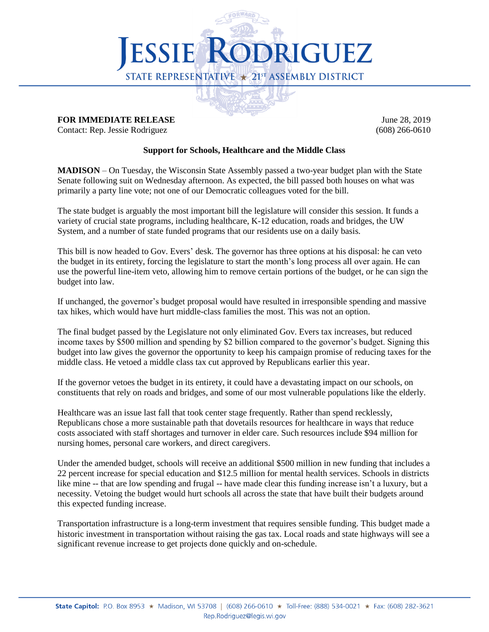

## **FOR IMMEDIATE RELEASE June 28, 2019**

Contact: Rep. Jessie Rodriguez (608) 266-0610

## **Support for Schools, Healthcare and the Middle Class**

**MADISON** – On Tuesday, the Wisconsin State Assembly passed a two-year budget plan with the State Senate following suit on Wednesday afternoon. As expected, the bill passed both houses on what was primarily a party line vote; not one of our Democratic colleagues voted for the bill.

The state budget is arguably the most important bill the legislature will consider this session. It funds a variety of crucial state programs, including healthcare, K-12 education, roads and bridges, the UW System, and a number of state funded programs that our residents use on a daily basis.

This bill is now headed to Gov. Evers' desk. The governor has three options at his disposal: he can veto the budget in its entirety, forcing the legislature to start the month's long process all over again. He can use the powerful line-item veto, allowing him to remove certain portions of the budget, or he can sign the budget into law.

If unchanged, the governor's budget proposal would have resulted in irresponsible spending and massive tax hikes, which would have hurt middle-class families the most. This was not an option.

The final budget passed by the Legislature not only eliminated Gov. Evers tax increases, but reduced income taxes by \$500 million and spending by \$2 billion compared to the governor's budget. Signing this budget into law gives the governor the opportunity to keep his campaign promise of reducing taxes for the middle class. He vetoed a middle class tax cut approved by Republicans earlier this year.

If the governor vetoes the budget in its entirety, it could have a devastating impact on our schools, on constituents that rely on roads and bridges, and some of our most vulnerable populations like the elderly.

Healthcare was an issue last fall that took center stage frequently. Rather than spend recklessly, Republicans chose a more sustainable path that dovetails resources for healthcare in ways that reduce costs associated with staff shortages and turnover in elder care. Such resources include \$94 million for nursing homes, personal care workers, and direct caregivers.

Under the amended budget, schools will receive an additional \$500 million in new funding that includes a 22 percent increase for special education and \$12.5 million for mental health services. Schools in districts like mine -- that are low spending and frugal -- have made clear this funding increase isn't a luxury, but a necessity. Vetoing the budget would hurt schools all across the state that have built their budgets around this expected funding increase.

Transportation infrastructure is a long-term investment that requires sensible funding. This budget made a historic investment in transportation without raising the gas tax. Local roads and state highways will see a significant revenue increase to get projects done quickly and on-schedule.